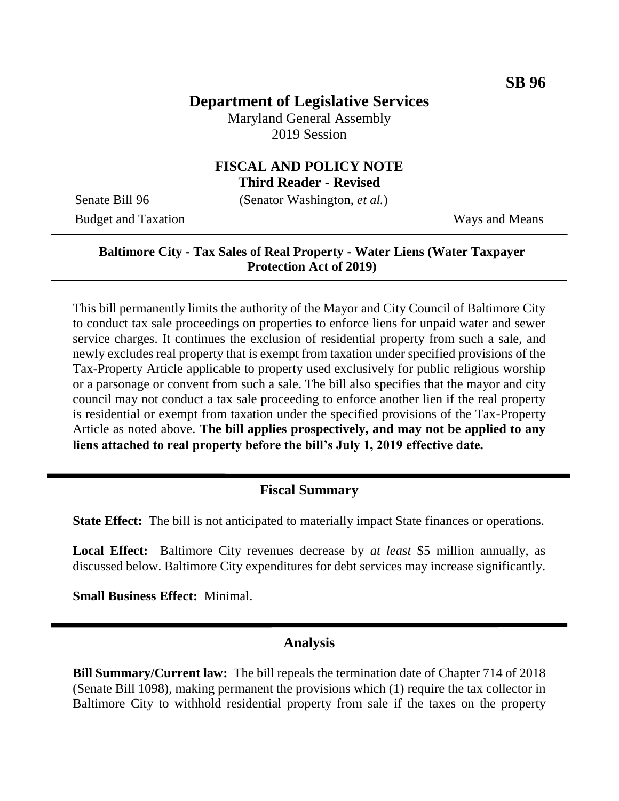## **Department of Legislative Services**

Maryland General Assembly 2019 Session

# **FISCAL AND POLICY NOTE**

**Third Reader - Revised**

Budget and Taxation Ways and Means

Senate Bill 96 (Senator Washington, *et al.*)

#### **Baltimore City - Tax Sales of Real Property - Water Liens (Water Taxpayer Protection Act of 2019)**

This bill permanently limits the authority of the Mayor and City Council of Baltimore City to conduct tax sale proceedings on properties to enforce liens for unpaid water and sewer service charges. It continues the exclusion of residential property from such a sale, and newly excludes real property that is exempt from taxation under specified provisions of the Tax-Property Article applicable to property used exclusively for public religious worship or a parsonage or convent from such a sale. The bill also specifies that the mayor and city council may not conduct a tax sale proceeding to enforce another lien if the real property is residential or exempt from taxation under the specified provisions of the Tax-Property Article as noted above. **The bill applies prospectively, and may not be applied to any liens attached to real property before the bill's July 1, 2019 effective date.**

#### **Fiscal Summary**

**State Effect:** The bill is not anticipated to materially impact State finances or operations.

**Local Effect:** Baltimore City revenues decrease by *at least* \$5 million annually, as discussed below. Baltimore City expenditures for debt services may increase significantly.

**Small Business Effect:** Minimal.

#### **Analysis**

**Bill Summary/Current law:** The bill repeals the termination date of Chapter 714 of 2018 (Senate Bill 1098), making permanent the provisions which (1) require the tax collector in Baltimore City to withhold residential property from sale if the taxes on the property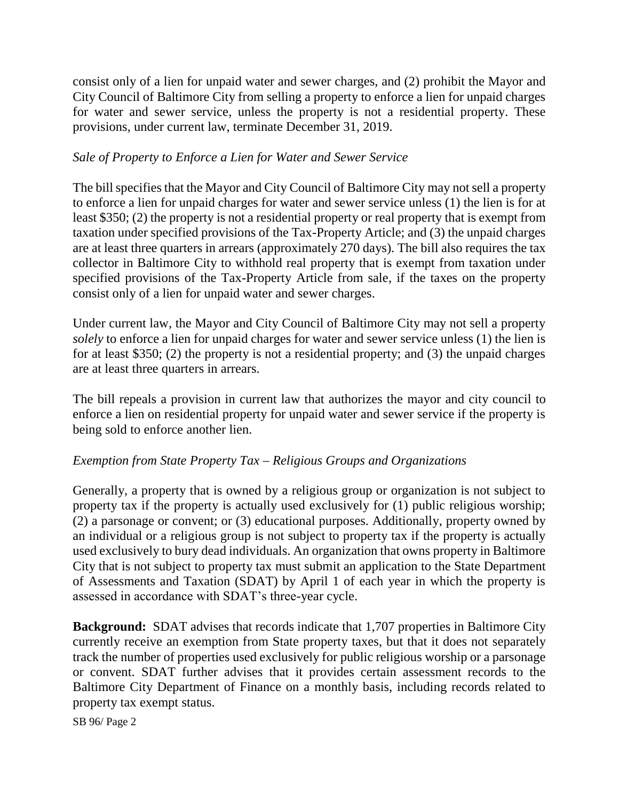consist only of a lien for unpaid water and sewer charges, and (2) prohibit the Mayor and City Council of Baltimore City from selling a property to enforce a lien for unpaid charges for water and sewer service, unless the property is not a residential property. These provisions, under current law, terminate December 31, 2019.

#### *Sale of Property to Enforce a Lien for Water and Sewer Service*

The bill specifies that the Mayor and City Council of Baltimore City may not sell a property to enforce a lien for unpaid charges for water and sewer service unless (1) the lien is for at least \$350; (2) the property is not a residential property or real property that is exempt from taxation under specified provisions of the Tax-Property Article; and (3) the unpaid charges are at least three quarters in arrears (approximately 270 days). The bill also requires the tax collector in Baltimore City to withhold real property that is exempt from taxation under specified provisions of the Tax-Property Article from sale, if the taxes on the property consist only of a lien for unpaid water and sewer charges.

Under current law, the Mayor and City Council of Baltimore City may not sell a property *solely* to enforce a lien for unpaid charges for water and sewer service unless (1) the lien is for at least \$350; (2) the property is not a residential property; and (3) the unpaid charges are at least three quarters in arrears.

The bill repeals a provision in current law that authorizes the mayor and city council to enforce a lien on residential property for unpaid water and sewer service if the property is being sold to enforce another lien.

#### *Exemption from State Property Tax – Religious Groups and Organizations*

Generally, a property that is owned by a religious group or organization is not subject to property tax if the property is actually used exclusively for (1) public religious worship; (2) a parsonage or convent; or (3) educational purposes. Additionally, property owned by an individual or a religious group is not subject to property tax if the property is actually used exclusively to bury dead individuals. An organization that owns property in Baltimore City that is not subject to property tax must submit an application to the State Department of Assessments and Taxation (SDAT) by April 1 of each year in which the property is assessed in accordance with SDAT's three-year cycle.

**Background:** SDAT advises that records indicate that 1,707 properties in Baltimore City currently receive an exemption from State property taxes, but that it does not separately track the number of properties used exclusively for public religious worship or a parsonage or convent. SDAT further advises that it provides certain assessment records to the Baltimore City Department of Finance on a monthly basis, including records related to property tax exempt status.

SB 96/ Page 2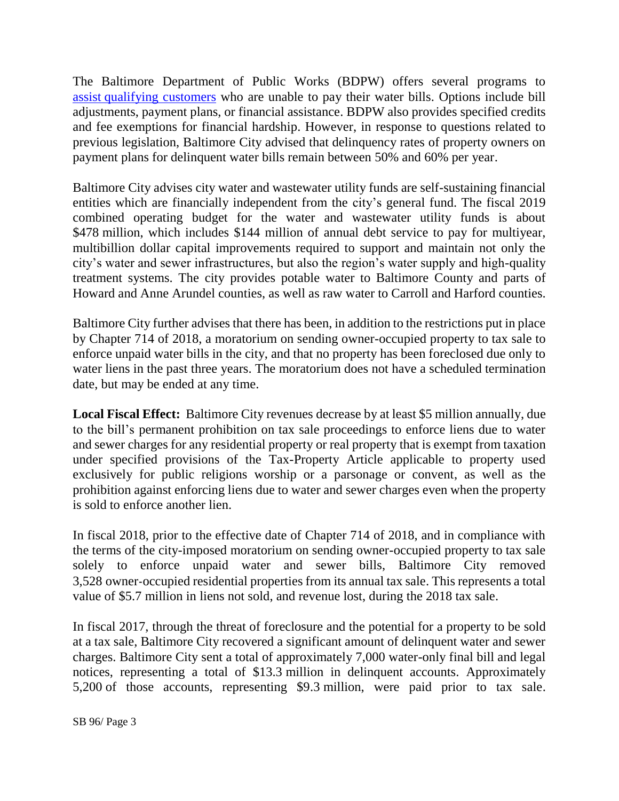The Baltimore Department of Public Works (BDPW) offers several programs to assist [qualifying customers](https://taxsale.baltimorecity.gov/water-bill-assistance) who are unable to pay their water bills. Options include bill adjustments, payment plans, or financial assistance. BDPW also provides specified credits and fee exemptions for financial hardship. However, in response to questions related to previous legislation, Baltimore City advised that delinquency rates of property owners on payment plans for delinquent water bills remain between 50% and 60% per year.

Baltimore City advises city water and wastewater utility funds are self-sustaining financial entities which are financially independent from the city's general fund. The fiscal 2019 combined operating budget for the water and wastewater utility funds is about \$478 million, which includes \$144 million of annual debt service to pay for multiyear, multibillion dollar capital improvements required to support and maintain not only the city's water and sewer infrastructures, but also the region's water supply and high-quality treatment systems. The city provides potable water to Baltimore County and parts of Howard and Anne Arundel counties, as well as raw water to Carroll and Harford counties.

Baltimore City further advises that there has been, in addition to the restrictions put in place by Chapter 714 of 2018, a moratorium on sending owner-occupied property to tax sale to enforce unpaid water bills in the city, and that no property has been foreclosed due only to water liens in the past three years. The moratorium does not have a scheduled termination date, but may be ended at any time.

**Local Fiscal Effect:** Baltimore City revenues decrease by at least \$5 million annually, due to the bill's permanent prohibition on tax sale proceedings to enforce liens due to water and sewer charges for any residential property or real property that is exempt from taxation under specified provisions of the Tax-Property Article applicable to property used exclusively for public religions worship or a parsonage or convent, as well as the prohibition against enforcing liens due to water and sewer charges even when the property is sold to enforce another lien.

In fiscal 2018, prior to the effective date of Chapter 714 of 2018, and in compliance with the terms of the city-imposed moratorium on sending owner-occupied property to tax sale solely to enforce unpaid water and sewer bills, Baltimore City removed 3,528 owner-occupied residential properties from its annual tax sale. This represents a total value of \$5.7 million in liens not sold, and revenue lost, during the 2018 tax sale.

In fiscal 2017, through the threat of foreclosure and the potential for a property to be sold at a tax sale, Baltimore City recovered a significant amount of delinquent water and sewer charges. Baltimore City sent a total of approximately 7,000 water-only final bill and legal notices, representing a total of \$13.3 million in delinquent accounts. Approximately 5,200 of those accounts, representing \$9.3 million, were paid prior to tax sale.